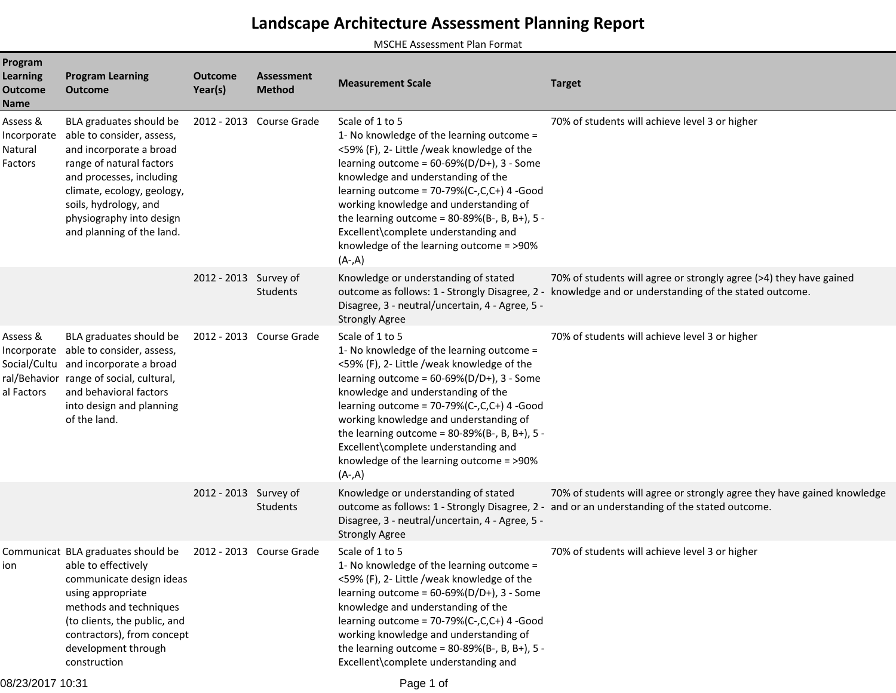## **Landscape Architecture Assessment Planning Report**

MSCHE Assessment Plan Format

| Program<br><b>Learning</b><br><b>Outcome</b><br><b>Name</b> | <b>Program Learning</b><br><b>Outcome</b>                                                                                                                                                                                                               | <b>Outcome</b><br>Year(s) | <b>Assessment</b><br><b>Method</b> | <b>Measurement Scale</b>                                                                                                                                                                                                                                                                                                                                                                                                                        | <b>Target</b>                                                                                                                                                              |
|-------------------------------------------------------------|---------------------------------------------------------------------------------------------------------------------------------------------------------------------------------------------------------------------------------------------------------|---------------------------|------------------------------------|-------------------------------------------------------------------------------------------------------------------------------------------------------------------------------------------------------------------------------------------------------------------------------------------------------------------------------------------------------------------------------------------------------------------------------------------------|----------------------------------------------------------------------------------------------------------------------------------------------------------------------------|
| Assess &<br>Incorporate<br>Natural<br>Factors               | BLA graduates should be<br>able to consider, assess,<br>and incorporate a broad<br>range of natural factors<br>and processes, including<br>climate, ecology, geology,<br>soils, hydrology, and<br>physiography into design<br>and planning of the land. |                           | 2012 - 2013 Course Grade           | Scale of 1 to 5<br>1- No knowledge of the learning outcome =<br><59% (F), 2- Little /weak knowledge of the<br>learning outcome = $60-69\%$ (D/D+), 3 - Some<br>knowledge and understanding of the<br>learning outcome = $70-79%$ (C-,C,C+) 4 -Good<br>working knowledge and understanding of<br>the learning outcome = $80-89%$ (B-, B, B+), 5 -<br>Excellent\complete understanding and<br>knowledge of the learning outcome = >90%<br>$(A-A)$ | 70% of students will achieve level 3 or higher                                                                                                                             |
|                                                             |                                                                                                                                                                                                                                                         | 2012 - 2013 Survey of     | Students                           | Knowledge or understanding of stated<br>Disagree, 3 - neutral/uncertain, 4 - Agree, 5 -<br><b>Strongly Agree</b>                                                                                                                                                                                                                                                                                                                                | 70% of students will agree or strongly agree (>4) they have gained<br>outcome as follows: 1 - Strongly Disagree, 2 - knowledge and or understanding of the stated outcome. |
| Assess &<br>Incorporate<br>Social/Cultu<br>al Factors       | BLA graduates should be<br>able to consider, assess,<br>and incorporate a broad<br>ral/Behavior range of social, cultural,<br>and behavioral factors<br>into design and planning<br>of the land.                                                        |                           | 2012 - 2013 Course Grade           | Scale of 1 to 5<br>1- No knowledge of the learning outcome =<br><59% (F), 2- Little /weak knowledge of the<br>learning outcome = $60-69\%$ (D/D+), 3 - Some<br>knowledge and understanding of the<br>learning outcome = $70-79%$ (C-,C,C+) 4 -Good<br>working knowledge and understanding of<br>the learning outcome = $80-89%$ (B-, B, B+), 5 -<br>Excellent\complete understanding and<br>knowledge of the learning outcome = >90%<br>$(A-A)$ | 70% of students will achieve level 3 or higher                                                                                                                             |
|                                                             |                                                                                                                                                                                                                                                         | 2012 - 2013 Survey of     | Students                           | Knowledge or understanding of stated<br>Disagree, 3 - neutral/uncertain, 4 - Agree, 5 -<br><b>Strongly Agree</b>                                                                                                                                                                                                                                                                                                                                | 70% of students will agree or strongly agree they have gained knowledge<br>outcome as follows: 1 - Strongly Disagree, 2 - and or an understanding of the stated outcome.   |
| ion                                                         | Communicat BLA graduates should be<br>able to effectively<br>communicate design ideas<br>using appropriate<br>methods and techniques<br>(to clients, the public, and<br>contractors), from concept<br>development through<br>construction               |                           | 2012 - 2013 Course Grade           | Scale of 1 to 5<br>1- No knowledge of the learning outcome =<br><59% (F), 2- Little /weak knowledge of the<br>learning outcome = $60-69\%$ (D/D+), 3 - Some<br>knowledge and understanding of the<br>learning outcome = 70-79%(C-,C,C+) 4 -Good<br>working knowledge and understanding of<br>the learning outcome = $80-89%$ (B-, B, B+), 5 -<br>Excellent\complete understanding and                                                           | 70% of students will achieve level 3 or higher                                                                                                                             |

08/23/2017 10:31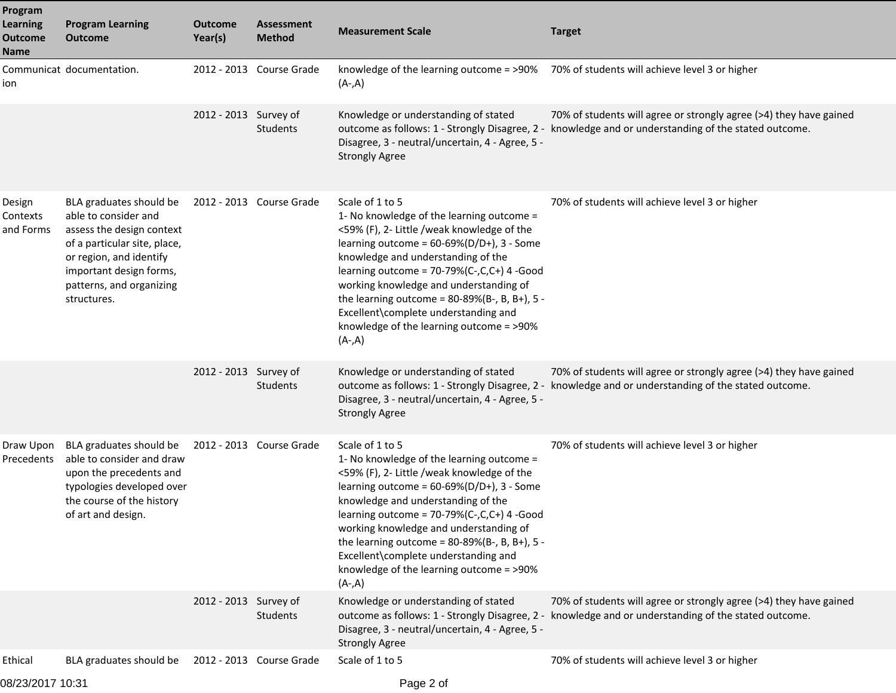| Program<br><b>Learning</b><br><b>Outcome</b><br><b>Name</b> | <b>Program Learning</b><br><b>Outcome</b>                                                                                                                                                                     | <b>Outcome</b><br>Year(s) | <b>Assessment</b><br><b>Method</b> | <b>Measurement Scale</b>                                                                                                                                                                                                                                                                                                                                                                                                                        | <b>Target</b>                                                                                                                                                              |
|-------------------------------------------------------------|---------------------------------------------------------------------------------------------------------------------------------------------------------------------------------------------------------------|---------------------------|------------------------------------|-------------------------------------------------------------------------------------------------------------------------------------------------------------------------------------------------------------------------------------------------------------------------------------------------------------------------------------------------------------------------------------------------------------------------------------------------|----------------------------------------------------------------------------------------------------------------------------------------------------------------------------|
| ion                                                         | Communicat documentation.                                                                                                                                                                                     |                           | 2012 - 2013 Course Grade           | $(A-A)$                                                                                                                                                                                                                                                                                                                                                                                                                                         | knowledge of the learning outcome = >90% 70% of students will achieve level 3 or higher                                                                                    |
|                                                             |                                                                                                                                                                                                               | 2012 - 2013 Survey of     | Students                           | Knowledge or understanding of stated<br>Disagree, 3 - neutral/uncertain, 4 - Agree, 5 -<br><b>Strongly Agree</b>                                                                                                                                                                                                                                                                                                                                | 70% of students will agree or strongly agree (>4) they have gained<br>outcome as follows: 1 - Strongly Disagree, 2 - knowledge and or understanding of the stated outcome. |
| Design<br>Contexts<br>and Forms                             | BLA graduates should be<br>able to consider and<br>assess the design context<br>of a particular site, place,<br>or region, and identify<br>important design forms,<br>patterns, and organizing<br>structures. |                           | 2012 - 2013 Course Grade           | Scale of 1 to 5<br>1- No knowledge of the learning outcome =<br><59% (F), 2- Little /weak knowledge of the<br>learning outcome = $60-69\%$ (D/D+), 3 - Some<br>knowledge and understanding of the<br>learning outcome = $70-79%$ (C-,C,C+) 4 -Good<br>working knowledge and understanding of<br>the learning outcome = $80-89%$ (B-, B, B+), 5 -<br>Excellent\complete understanding and<br>knowledge of the learning outcome = >90%<br>$(A-A)$ | 70% of students will achieve level 3 or higher                                                                                                                             |
|                                                             |                                                                                                                                                                                                               | 2012 - 2013 Survey of     | Students                           | Knowledge or understanding of stated<br>Disagree, 3 - neutral/uncertain, 4 - Agree, 5 -<br><b>Strongly Agree</b>                                                                                                                                                                                                                                                                                                                                | 70% of students will agree or strongly agree (>4) they have gained<br>outcome as follows: 1 - Strongly Disagree, 2 - knowledge and or understanding of the stated outcome. |
| Draw Upon<br>Precedents                                     | BLA graduates should be<br>able to consider and draw<br>upon the precedents and<br>typologies developed over<br>the course of the history<br>of art and design.                                               |                           | 2012 - 2013 Course Grade           | Scale of 1 to 5<br>1- No knowledge of the learning outcome =<br><59% (F), 2- Little /weak knowledge of the<br>learning outcome = $60-69\%$ (D/D+), 3 - Some<br>knowledge and understanding of the<br>learning outcome = $70-79%$ (C-,C,C+) 4 -Good<br>working knowledge and understanding of<br>the learning outcome = $80-89%$ (B-, B, B+), 5 -<br>Excellent\complete understanding and<br>knowledge of the learning outcome = >90%<br>$(A-A)$ | 70% of students will achieve level 3 or higher                                                                                                                             |
|                                                             |                                                                                                                                                                                                               | 2012 - 2013 Survey of     | Students                           | Knowledge or understanding of stated<br>outcome as follows: 1 - Strongly Disagree, 2 -<br>Disagree, 3 - neutral/uncertain, 4 - Agree, 5 -<br><b>Strongly Agree</b>                                                                                                                                                                                                                                                                              | 70% of students will agree or strongly agree (>4) they have gained<br>knowledge and or understanding of the stated outcome.                                                |
| Ethical                                                     | BLA graduates should be                                                                                                                                                                                       |                           | 2012 - 2013 Course Grade           | Scale of 1 to 5                                                                                                                                                                                                                                                                                                                                                                                                                                 | 70% of students will achieve level 3 or higher                                                                                                                             |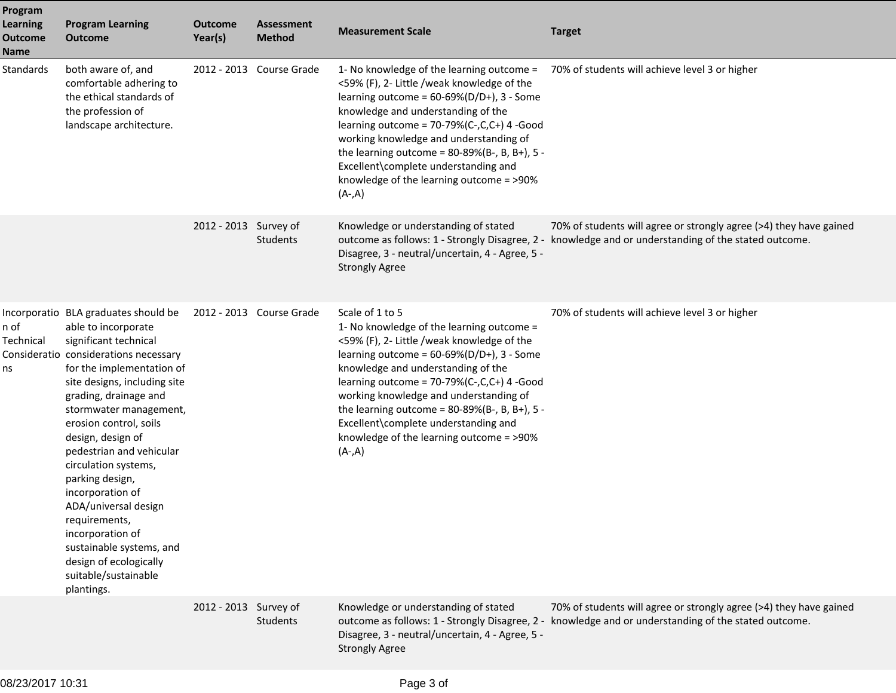| Program<br><b>Learning</b><br><b>Outcome</b><br><b>Name</b> | <b>Program Learning</b><br><b>Outcome</b>                                                                                                                                                                                                                                                                                                                                                                                                                                                                                                        | <b>Outcome</b><br>Year(s) | <b>Assessment</b><br><b>Method</b> | <b>Measurement Scale</b>                                                                                                                                                                                                                                                                                                                                                                                                                        | <b>Target</b>                                                                                                                                                              |
|-------------------------------------------------------------|--------------------------------------------------------------------------------------------------------------------------------------------------------------------------------------------------------------------------------------------------------------------------------------------------------------------------------------------------------------------------------------------------------------------------------------------------------------------------------------------------------------------------------------------------|---------------------------|------------------------------------|-------------------------------------------------------------------------------------------------------------------------------------------------------------------------------------------------------------------------------------------------------------------------------------------------------------------------------------------------------------------------------------------------------------------------------------------------|----------------------------------------------------------------------------------------------------------------------------------------------------------------------------|
| Standards                                                   | both aware of, and<br>comfortable adhering to<br>the ethical standards of<br>the profession of<br>landscape architecture.                                                                                                                                                                                                                                                                                                                                                                                                                        |                           | 2012 - 2013 Course Grade           | 1- No knowledge of the learning outcome =<br><59% (F), 2- Little /weak knowledge of the<br>learning outcome = $60-69\%$ (D/D+), 3 - Some<br>knowledge and understanding of the<br>learning outcome = $70-79%$ (C-,C,C+) 4 -Good<br>working knowledge and understanding of<br>the learning outcome = $80-89%$ (B-, B, B+), 5 -<br>Excellent\complete understanding and<br>knowledge of the learning outcome = >90%<br>$(A-A)$                    | 70% of students will achieve level 3 or higher                                                                                                                             |
|                                                             |                                                                                                                                                                                                                                                                                                                                                                                                                                                                                                                                                  | 2012 - 2013 Survey of     | Students                           | Knowledge or understanding of stated<br>Disagree, 3 - neutral/uncertain, 4 - Agree, 5 -<br><b>Strongly Agree</b>                                                                                                                                                                                                                                                                                                                                | 70% of students will agree or strongly agree (>4) they have gained<br>outcome as follows: 1 - Strongly Disagree, 2 - knowledge and or understanding of the stated outcome. |
| n of<br>Technical<br>ns                                     | Incorporatio BLA graduates should be<br>able to incorporate<br>significant technical<br>Consideratio considerations necessary<br>for the implementation of<br>site designs, including site<br>grading, drainage and<br>stormwater management,<br>erosion control, soils<br>design, design of<br>pedestrian and vehicular<br>circulation systems,<br>parking design,<br>incorporation of<br>ADA/universal design<br>requirements,<br>incorporation of<br>sustainable systems, and<br>design of ecologically<br>suitable/sustainable<br>plantings. |                           | 2012 - 2013 Course Grade           | Scale of 1 to 5<br>1- No knowledge of the learning outcome =<br><59% (F), 2- Little /weak knowledge of the<br>learning outcome = $60-69\%$ (D/D+), 3 - Some<br>knowledge and understanding of the<br>learning outcome = $70-79%$ (C-,C,C+) 4 -Good<br>working knowledge and understanding of<br>the learning outcome = $80-89%$ (B-, B, B+), 5 -<br>Excellent\complete understanding and<br>knowledge of the learning outcome = >90%<br>$(A-A)$ | 70% of students will achieve level 3 or higher                                                                                                                             |
|                                                             |                                                                                                                                                                                                                                                                                                                                                                                                                                                                                                                                                  | 2012 - 2013 Survey of     | <b>Students</b>                    | Knowledge or understanding of stated<br>Disagree, 3 - neutral/uncertain, 4 - Agree, 5 -<br><b>Strongly Agree</b>                                                                                                                                                                                                                                                                                                                                | 70% of students will agree or strongly agree (>4) they have gained<br>outcome as follows: 1 - Strongly Disagree, 2 - knowledge and or understanding of the stated outcome. |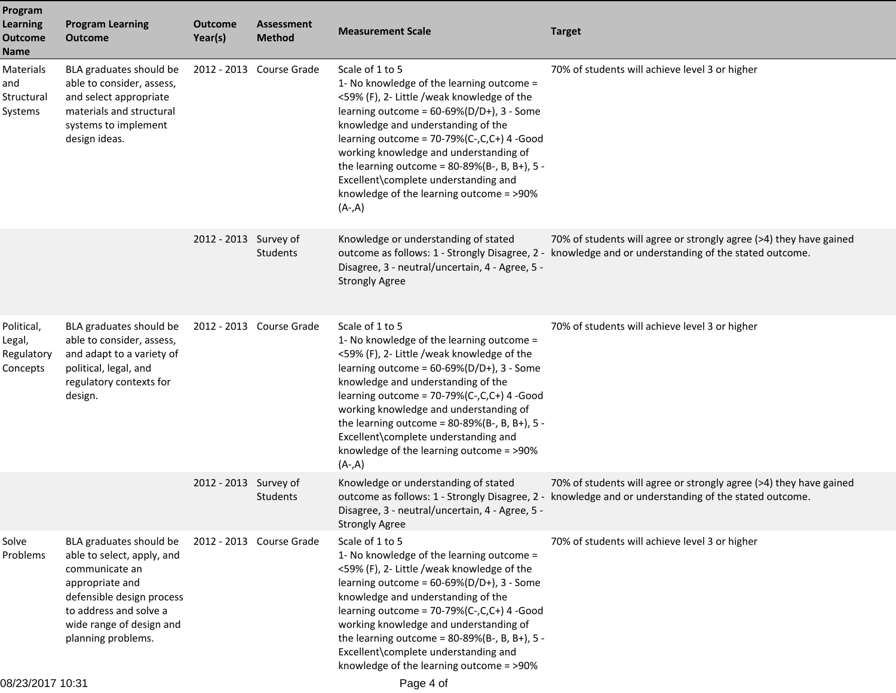| Program<br><b>Learning</b><br><b>Outcome</b><br><b>Name</b> | <b>Program Learning</b><br><b>Outcome</b>                                                                                                                                                           | <b>Outcome</b><br>Year(s) | <b>Assessment</b><br><b>Method</b> | <b>Measurement Scale</b>                                                                                                                                                                                                                                                                                                                                                                                                                        | <b>Target</b>                                                                                                                                                              |
|-------------------------------------------------------------|-----------------------------------------------------------------------------------------------------------------------------------------------------------------------------------------------------|---------------------------|------------------------------------|-------------------------------------------------------------------------------------------------------------------------------------------------------------------------------------------------------------------------------------------------------------------------------------------------------------------------------------------------------------------------------------------------------------------------------------------------|----------------------------------------------------------------------------------------------------------------------------------------------------------------------------|
| Materials<br>and<br>Structural<br>Systems                   | BLA graduates should be<br>able to consider, assess,<br>and select appropriate<br>materials and structural<br>systems to implement<br>design ideas.                                                 |                           | 2012 - 2013 Course Grade           | Scale of 1 to 5<br>1- No knowledge of the learning outcome =<br><59% (F), 2- Little /weak knowledge of the<br>learning outcome = $60-69\%$ (D/D+), 3 - Some<br>knowledge and understanding of the<br>learning outcome = 70-79%(C-,C,C+) 4 -Good<br>working knowledge and understanding of<br>the learning outcome = $80-89%$ (B-, B, B+), 5 -<br>Excellent\complete understanding and<br>knowledge of the learning outcome = >90%<br>$(A-A)$    | 70% of students will achieve level 3 or higher                                                                                                                             |
|                                                             |                                                                                                                                                                                                     | 2012 - 2013 Survey of     | <b>Students</b>                    | Knowledge or understanding of stated<br>Disagree, 3 - neutral/uncertain, 4 - Agree, 5 -<br><b>Strongly Agree</b>                                                                                                                                                                                                                                                                                                                                | 70% of students will agree or strongly agree (>4) they have gained<br>outcome as follows: 1 - Strongly Disagree, 2 - knowledge and or understanding of the stated outcome. |
| Political,<br>Legal,<br>Regulatory<br>Concepts              | BLA graduates should be<br>able to consider, assess,<br>and adapt to a variety of<br>political, legal, and<br>regulatory contexts for<br>design.                                                    |                           | 2012 - 2013 Course Grade           | Scale of 1 to 5<br>1- No knowledge of the learning outcome =<br><59% (F), 2- Little /weak knowledge of the<br>learning outcome = $60-69\%$ (D/D+), 3 - Some<br>knowledge and understanding of the<br>learning outcome = $70-79%$ (C-,C,C+) 4 -Good<br>working knowledge and understanding of<br>the learning outcome = $80-89%$ (B-, B, B+), 5 -<br>Excellent\complete understanding and<br>knowledge of the learning outcome = >90%<br>$(A-A)$ | 70% of students will achieve level 3 or higher                                                                                                                             |
|                                                             |                                                                                                                                                                                                     | 2012 - 2013 Survey of     | Students                           | Knowledge or understanding of stated<br>Disagree, 3 - neutral/uncertain, 4 - Agree, 5 -<br><b>Strongly Agree</b>                                                                                                                                                                                                                                                                                                                                | 70% of students will agree or strongly agree (>4) they have gained<br>outcome as follows: 1 - Strongly Disagree, 2 - knowledge and or understanding of the stated outcome. |
| Solve<br>Problems                                           | BLA graduates should be<br>able to select, apply, and<br>communicate an<br>appropriate and<br>defensible design process<br>to address and solve a<br>wide range of design and<br>planning problems. |                           | 2012 - 2013 Course Grade           | Scale of 1 to 5<br>1- No knowledge of the learning outcome =<br><59% (F), 2- Little /weak knowledge of the<br>learning outcome = $60-69\%(D/D+)$ , 3 - Some<br>knowledge and understanding of the<br>learning outcome = $70-79%$ (C-,C,C+) 4 -Good<br>working knowledge and understanding of<br>the learning outcome = $80-89%$ (B-, B, B+), 5 -<br>Excellent\complete understanding and<br>knowledge of the learning outcome = >90%            | 70% of students will achieve level 3 or higher                                                                                                                             |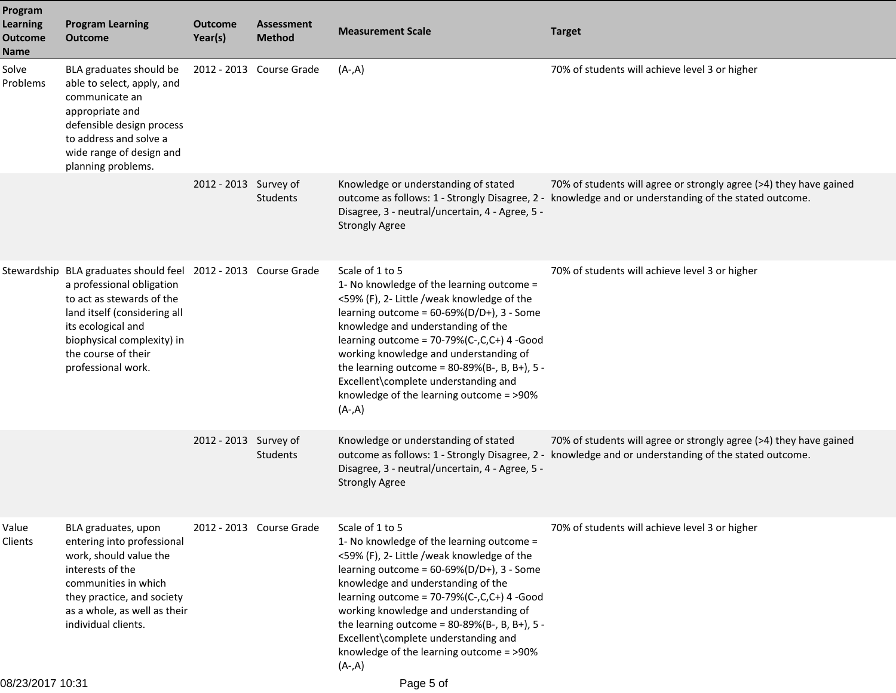| Program<br><b>Learning</b><br><b>Outcome</b><br><b>Name</b> | <b>Program Learning</b><br><b>Outcome</b>                                                                                                                                                                                                                 | <b>Outcome</b><br>Year(s) | <b>Assessment</b><br><b>Method</b> | <b>Measurement Scale</b>                                                                                                                                                                                                                                                                                                                                                                                                                        | <b>Target</b>                                                                                                                                                              |
|-------------------------------------------------------------|-----------------------------------------------------------------------------------------------------------------------------------------------------------------------------------------------------------------------------------------------------------|---------------------------|------------------------------------|-------------------------------------------------------------------------------------------------------------------------------------------------------------------------------------------------------------------------------------------------------------------------------------------------------------------------------------------------------------------------------------------------------------------------------------------------|----------------------------------------------------------------------------------------------------------------------------------------------------------------------------|
| Solve<br>Problems                                           | BLA graduates should be<br>able to select, apply, and<br>communicate an<br>appropriate and<br>defensible design process<br>to address and solve a<br>wide range of design and<br>planning problems.                                                       |                           | 2012 - 2013 Course Grade           | $(A-A)$                                                                                                                                                                                                                                                                                                                                                                                                                                         | 70% of students will achieve level 3 or higher                                                                                                                             |
|                                                             |                                                                                                                                                                                                                                                           | 2012 - 2013 Survey of     | <b>Students</b>                    | Knowledge or understanding of stated<br>Disagree, 3 - neutral/uncertain, 4 - Agree, 5 -<br><b>Strongly Agree</b>                                                                                                                                                                                                                                                                                                                                | 70% of students will agree or strongly agree (>4) they have gained<br>outcome as follows: 1 - Strongly Disagree, 2 - knowledge and or understanding of the stated outcome. |
|                                                             | Stewardship BLA graduates should feel 2012 - 2013 Course Grade<br>a professional obligation<br>to act as stewards of the<br>land itself (considering all<br>its ecological and<br>biophysical complexity) in<br>the course of their<br>professional work. |                           |                                    | Scale of 1 to 5<br>1- No knowledge of the learning outcome =<br><59% (F), 2- Little /weak knowledge of the<br>learning outcome = $60-69\%$ (D/D+), 3 - Some<br>knowledge and understanding of the<br>learning outcome = $70-79%$ (C-,C,C+) 4 -Good<br>working knowledge and understanding of<br>the learning outcome = $80-89%$ (B-, B, B+), 5 -<br>Excellent\complete understanding and<br>knowledge of the learning outcome = >90%<br>$(A-A)$ | 70% of students will achieve level 3 or higher                                                                                                                             |
|                                                             |                                                                                                                                                                                                                                                           | 2012 - 2013 Survey of     | <b>Students</b>                    | Knowledge or understanding of stated<br>Disagree, 3 - neutral/uncertain, 4 - Agree, 5 -<br><b>Strongly Agree</b>                                                                                                                                                                                                                                                                                                                                | 70% of students will agree or strongly agree (>4) they have gained<br>outcome as follows: 1 - Strongly Disagree, 2 - knowledge and or understanding of the stated outcome. |
| Value<br>Clients                                            | BLA graduates, upon<br>entering into professional<br>work, should value the<br>interests of the<br>communities in which<br>they practice, and society<br>as a whole, as well as their<br>individual clients.                                              |                           | 2012 - 2013 Course Grade           | Scale of 1 to 5<br>1- No knowledge of the learning outcome =<br><59% (F), 2- Little /weak knowledge of the<br>learning outcome = $60-69\%$ (D/D+), 3 - Some<br>knowledge and understanding of the<br>learning outcome = 70-79%(C-,C,C+) 4 -Good<br>working knowledge and understanding of<br>the learning outcome = $80-89%$ (B-, B, B+), 5 -<br>Excellent\complete understanding and<br>knowledge of the learning outcome = >90%<br>$(A-A)$    | 70% of students will achieve level 3 or higher                                                                                                                             |
| 08/23/2017 10:31                                            |                                                                                                                                                                                                                                                           |                           |                                    | Page 5 of                                                                                                                                                                                                                                                                                                                                                                                                                                       |                                                                                                                                                                            |